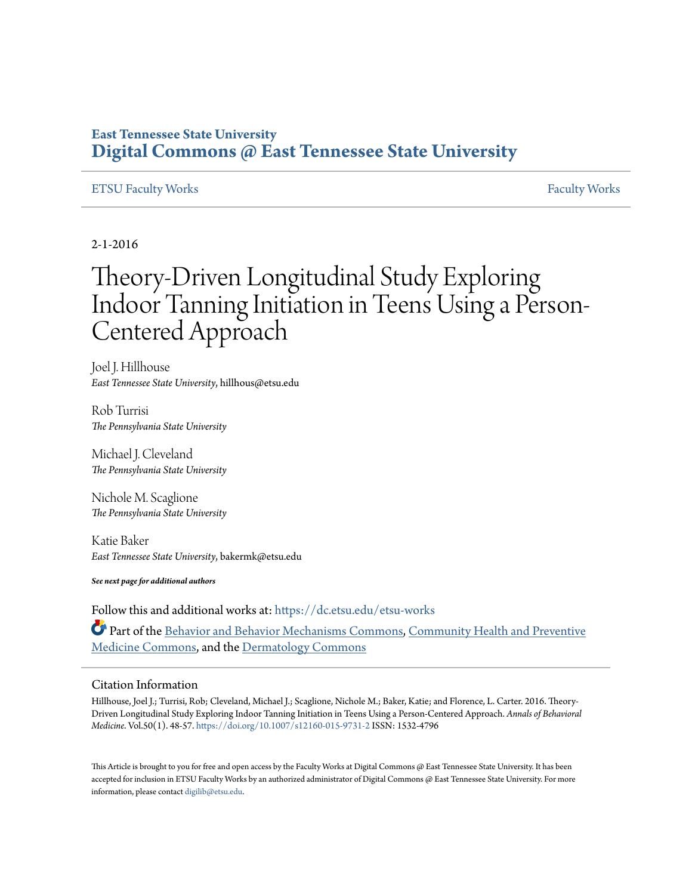## **East Tennessee State University [Digital Commons @ East Tennessee State University](https://dc.etsu.edu?utm_source=dc.etsu.edu%2Fetsu-works%2F58&utm_medium=PDF&utm_campaign=PDFCoverPages)**

## [ETSU Faculty Works](https://dc.etsu.edu/etsu-works?utm_source=dc.etsu.edu%2Fetsu-works%2F58&utm_medium=PDF&utm_campaign=PDFCoverPages) [Faculty Works](https://dc.etsu.edu/faculty-works?utm_source=dc.etsu.edu%2Fetsu-works%2F58&utm_medium=PDF&utm_campaign=PDFCoverPages) Faculty Works Faculty Works Faculty Works Faculty Works Faculty Works Faculty Works Faculty Morks Faculty Morks Faculty Morks Faculty Morks Faculty Morks Faculty Morks Faculty Morks Faculty

2-1-2016

# Theory-Driven Longitudinal Study Exploring Indoor Tanning Initiation in Teens Using a Person-Centered Approach

Joel J. Hillhouse *East Tennessee State University*, hillhous@etsu.edu

Rob Turrisi *The Pennsylvania State University*

Michael J. Cleveland *The Pennsylvania State University*

Nichole M. Scaglione *The Pennsylvania State University*

Katie Baker *East Tennessee State University*, bakermk@etsu.edu

*See next page for additional authors*

Follow this and additional works at: [https://dc.etsu.edu/etsu-works](https://dc.etsu.edu/etsu-works?utm_source=dc.etsu.edu%2Fetsu-works%2F58&utm_medium=PDF&utm_campaign=PDFCoverPages) Part of the [Behavior and Behavior Mechanisms Commons,](http://network.bepress.com/hgg/discipline/963?utm_source=dc.etsu.edu%2Fetsu-works%2F58&utm_medium=PDF&utm_campaign=PDFCoverPages) [Community Health and Preventive](http://network.bepress.com/hgg/discipline/744?utm_source=dc.etsu.edu%2Fetsu-works%2F58&utm_medium=PDF&utm_campaign=PDFCoverPages) [Medicine Commons,](http://network.bepress.com/hgg/discipline/744?utm_source=dc.etsu.edu%2Fetsu-works%2F58&utm_medium=PDF&utm_campaign=PDFCoverPages) and the [Dermatology Commons](http://network.bepress.com/hgg/discipline/684?utm_source=dc.etsu.edu%2Fetsu-works%2F58&utm_medium=PDF&utm_campaign=PDFCoverPages)

#### Citation Information

Hillhouse, Joel J.; Turrisi, Rob; Cleveland, Michael J.; Scaglione, Nichole M.; Baker, Katie; and Florence, L. Carter. 2016. Theory-Driven Longitudinal Study Exploring Indoor Tanning Initiation in Teens Using a Person-Centered Approach. *Annals of Behavioral Medicine*. Vol.50(1). 48-57. <https://doi.org/10.1007/s12160-015-9731-2> ISSN: 1532-4796

This Article is brought to you for free and open access by the Faculty Works at Digital Commons @ East Tennessee State University. It has been accepted for inclusion in ETSU Faculty Works by an authorized administrator of Digital Commons @ East Tennessee State University. For more information, please contact [digilib@etsu.edu.](mailto:digilib@etsu.edu)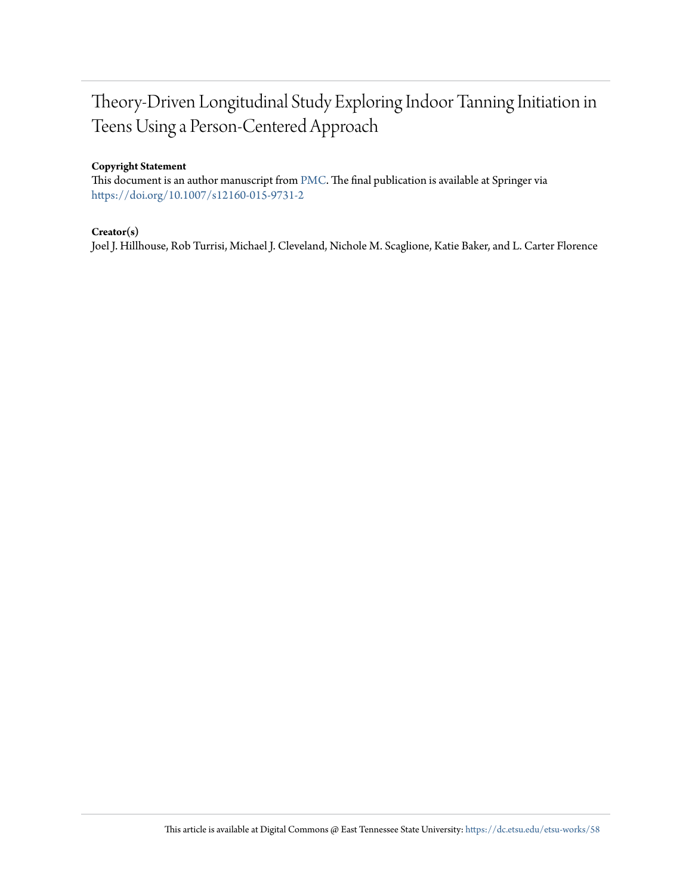## Theory-Driven Longitudinal Study Exploring Indoor Tanning Initiation in Teens Using a Person-Centered Approach

## **Copyright Statement**

This document is an author manuscript from [PMC.](https://www.ncbi.nlm.nih.gov/pmc/articles/PMC4744106/) The final publication is available at Springer via <https://doi.org/10.1007/s12160-015-9731-2>

## **Creator(s)**

Joel J. Hillhouse, Rob Turrisi, Michael J. Cleveland, Nichole M. Scaglione, Katie Baker, and L. Carter Florence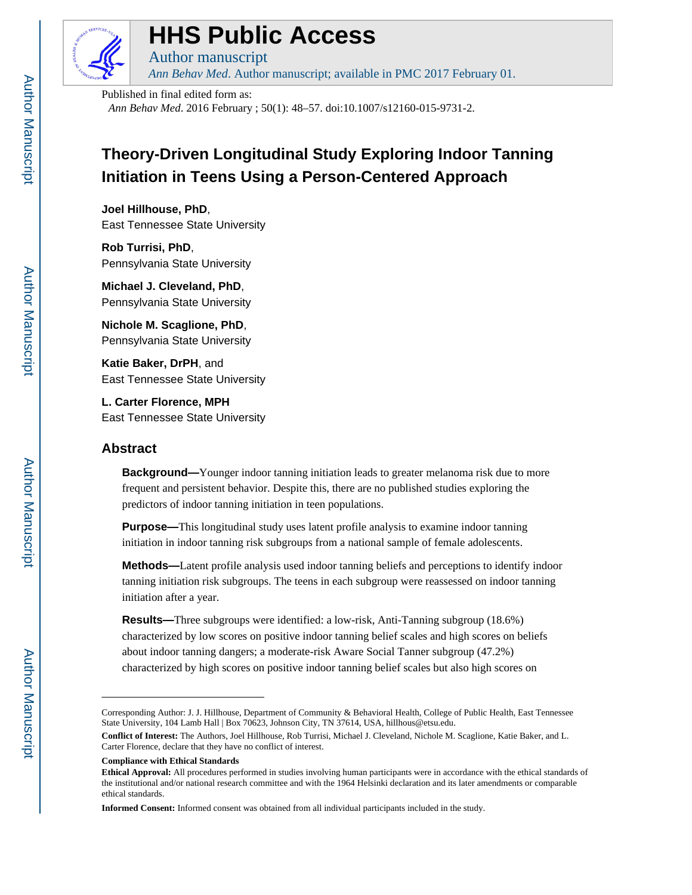

# **HHS Public Access**

*Ann Behav Med*. Author manuscript; available in PMC 2017 February 01.

Published in final edited form as:

Author manuscript

*Ann Behav Med*. 2016 February ; 50(1): 48–57. doi:10.1007/s12160-015-9731-2.

## **Theory-Driven Longitudinal Study Exploring Indoor Tanning Initiation in Teens Using a Person-Centered Approach**

**Joel Hillhouse, PhD**, East Tennessee State University

**Rob Turrisi, PhD**, Pennsylvania State University

**Michael J. Cleveland, PhD**, Pennsylvania State University

**Nichole M. Scaglione, PhD**, Pennsylvania State University

**Katie Baker, DrPH**, and East Tennessee State University

**L. Carter Florence, MPH** East Tennessee State University

## **Abstract**

**Background—**Younger indoor tanning initiation leads to greater melanoma risk due to more frequent and persistent behavior. Despite this, there are no published studies exploring the predictors of indoor tanning initiation in teen populations.

**Purpose—**This longitudinal study uses latent profile analysis to examine indoor tanning initiation in indoor tanning risk subgroups from a national sample of female adolescents.

**Methods—**Latent profile analysis used indoor tanning beliefs and perceptions to identify indoor tanning initiation risk subgroups. The teens in each subgroup were reassessed on indoor tanning initiation after a year.

**Results—**Three subgroups were identified: a low-risk, Anti-Tanning subgroup (18.6%) characterized by low scores on positive indoor tanning belief scales and high scores on beliefs about indoor tanning dangers; a moderate-risk Aware Social Tanner subgroup (47.2%) characterized by high scores on positive indoor tanning belief scales but also high scores on

**Compliance with Ethical Standards**

Corresponding Author: J. J. Hillhouse, Department of Community & Behavioral Health, College of Public Health, East Tennessee State University, 104 Lamb Hall | Box 70623, Johnson City, TN 37614, USA, hillhous@etsu.edu.

**Conflict of Interest:** The Authors, Joel Hillhouse, Rob Turrisi, Michael J. Cleveland, Nichole M. Scaglione, Katie Baker, and L. Carter Florence, declare that they have no conflict of interest.

**Ethical Approval:** All procedures performed in studies involving human participants were in accordance with the ethical standards of the institutional and/or national research committee and with the 1964 Helsinki declaration and its later amendments or comparable ethical standards.

**Informed Consent:** Informed consent was obtained from all individual participants included in the study.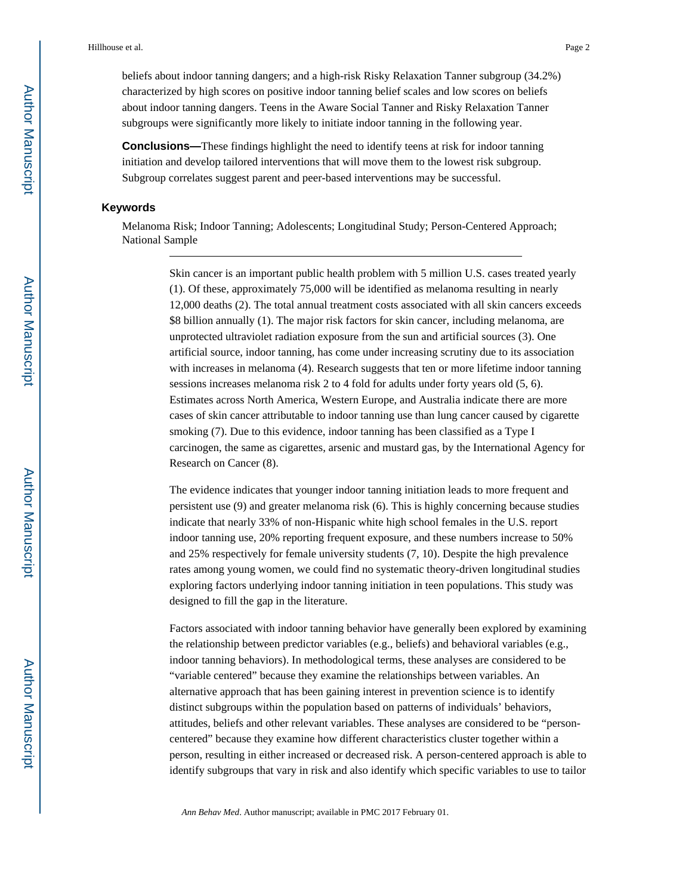beliefs about indoor tanning dangers; and a high-risk Risky Relaxation Tanner subgroup (34.2%) characterized by high scores on positive indoor tanning belief scales and low scores on beliefs about indoor tanning dangers. Teens in the Aware Social Tanner and Risky Relaxation Tanner subgroups were significantly more likely to initiate indoor tanning in the following year.

**Conclusions—**These findings highlight the need to identify teens at risk for indoor tanning initiation and develop tailored interventions that will move them to the lowest risk subgroup. Subgroup correlates suggest parent and peer-based interventions may be successful.

#### **Keywords**

Melanoma Risk; Indoor Tanning; Adolescents; Longitudinal Study; Person-Centered Approach; National Sample

> Skin cancer is an important public health problem with 5 million U.S. cases treated yearly (1). Of these, approximately 75,000 will be identified as melanoma resulting in nearly 12,000 deaths (2). The total annual treatment costs associated with all skin cancers exceeds \$8 billion annually (1). The major risk factors for skin cancer, including melanoma, are unprotected ultraviolet radiation exposure from the sun and artificial sources (3). One artificial source, indoor tanning, has come under increasing scrutiny due to its association with increases in melanoma (4). Research suggests that ten or more lifetime indoor tanning sessions increases melanoma risk 2 to 4 fold for adults under forty years old (5, 6). Estimates across North America, Western Europe, and Australia indicate there are more cases of skin cancer attributable to indoor tanning use than lung cancer caused by cigarette smoking (7). Due to this evidence, indoor tanning has been classified as a Type I carcinogen, the same as cigarettes, arsenic and mustard gas, by the International Agency for Research on Cancer (8).

The evidence indicates that younger indoor tanning initiation leads to more frequent and persistent use (9) and greater melanoma risk (6). This is highly concerning because studies indicate that nearly 33% of non-Hispanic white high school females in the U.S. report indoor tanning use, 20% reporting frequent exposure, and these numbers increase to 50% and 25% respectively for female university students (7, 10). Despite the high prevalence rates among young women, we could find no systematic theory-driven longitudinal studies exploring factors underlying indoor tanning initiation in teen populations. This study was designed to fill the gap in the literature.

Factors associated with indoor tanning behavior have generally been explored by examining the relationship between predictor variables (e.g., beliefs) and behavioral variables (e.g., indoor tanning behaviors). In methodological terms, these analyses are considered to be "variable centered" because they examine the relationships between variables. An alternative approach that has been gaining interest in prevention science is to identify distinct subgroups within the population based on patterns of individuals' behaviors, attitudes, beliefs and other relevant variables. These analyses are considered to be "personcentered" because they examine how different characteristics cluster together within a person, resulting in either increased or decreased risk. A person-centered approach is able to identify subgroups that vary in risk and also identify which specific variables to use to tailor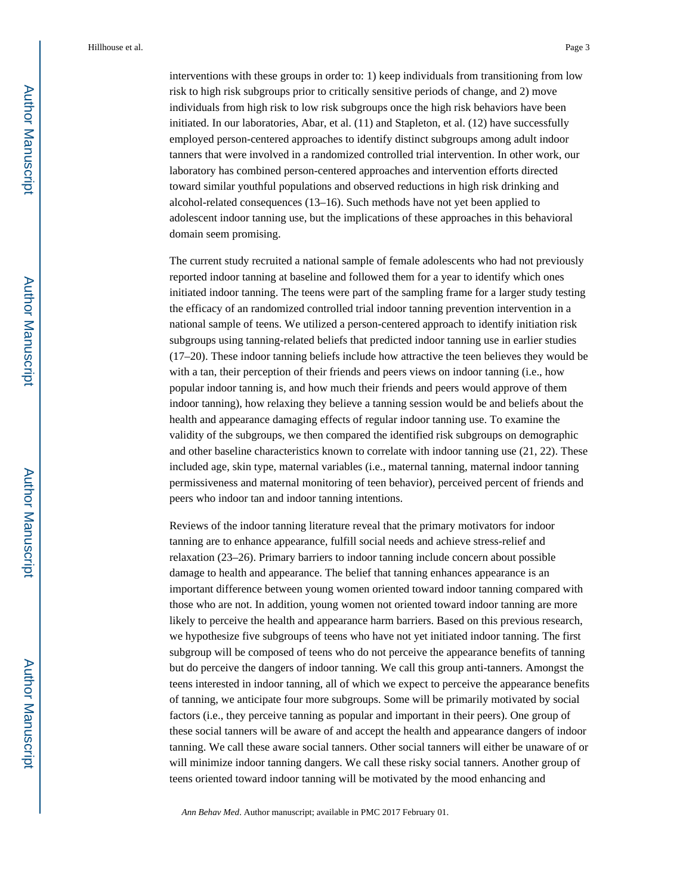interventions with these groups in order to: 1) keep individuals from transitioning from low risk to high risk subgroups prior to critically sensitive periods of change, and 2) move individuals from high risk to low risk subgroups once the high risk behaviors have been initiated. In our laboratories, Abar, et al. (11) and Stapleton, et al. (12) have successfully employed person-centered approaches to identify distinct subgroups among adult indoor tanners that were involved in a randomized controlled trial intervention. In other work, our laboratory has combined person-centered approaches and intervention efforts directed toward similar youthful populations and observed reductions in high risk drinking and alcohol-related consequences (13–16). Such methods have not yet been applied to adolescent indoor tanning use, but the implications of these approaches in this behavioral domain seem promising.

The current study recruited a national sample of female adolescents who had not previously reported indoor tanning at baseline and followed them for a year to identify which ones initiated indoor tanning. The teens were part of the sampling frame for a larger study testing the efficacy of an randomized controlled trial indoor tanning prevention intervention in a national sample of teens. We utilized a person-centered approach to identify initiation risk subgroups using tanning-related beliefs that predicted indoor tanning use in earlier studies (17–20). These indoor tanning beliefs include how attractive the teen believes they would be with a tan, their perception of their friends and peers views on indoor tanning (i.e., how popular indoor tanning is, and how much their friends and peers would approve of them indoor tanning), how relaxing they believe a tanning session would be and beliefs about the health and appearance damaging effects of regular indoor tanning use. To examine the validity of the subgroups, we then compared the identified risk subgroups on demographic and other baseline characteristics known to correlate with indoor tanning use (21, 22). These included age, skin type, maternal variables (i.e., maternal tanning, maternal indoor tanning permissiveness and maternal monitoring of teen behavior), perceived percent of friends and peers who indoor tan and indoor tanning intentions.

Reviews of the indoor tanning literature reveal that the primary motivators for indoor tanning are to enhance appearance, fulfill social needs and achieve stress-relief and relaxation (23–26). Primary barriers to indoor tanning include concern about possible damage to health and appearance. The belief that tanning enhances appearance is an important difference between young women oriented toward indoor tanning compared with those who are not. In addition, young women not oriented toward indoor tanning are more likely to perceive the health and appearance harm barriers. Based on this previous research, we hypothesize five subgroups of teens who have not yet initiated indoor tanning. The first subgroup will be composed of teens who do not perceive the appearance benefits of tanning but do perceive the dangers of indoor tanning. We call this group anti-tanners. Amongst the teens interested in indoor tanning, all of which we expect to perceive the appearance benefits of tanning, we anticipate four more subgroups. Some will be primarily motivated by social factors (i.e., they perceive tanning as popular and important in their peers). One group of these social tanners will be aware of and accept the health and appearance dangers of indoor tanning. We call these aware social tanners. Other social tanners will either be unaware of or will minimize indoor tanning dangers. We call these risky social tanners. Another group of teens oriented toward indoor tanning will be motivated by the mood enhancing and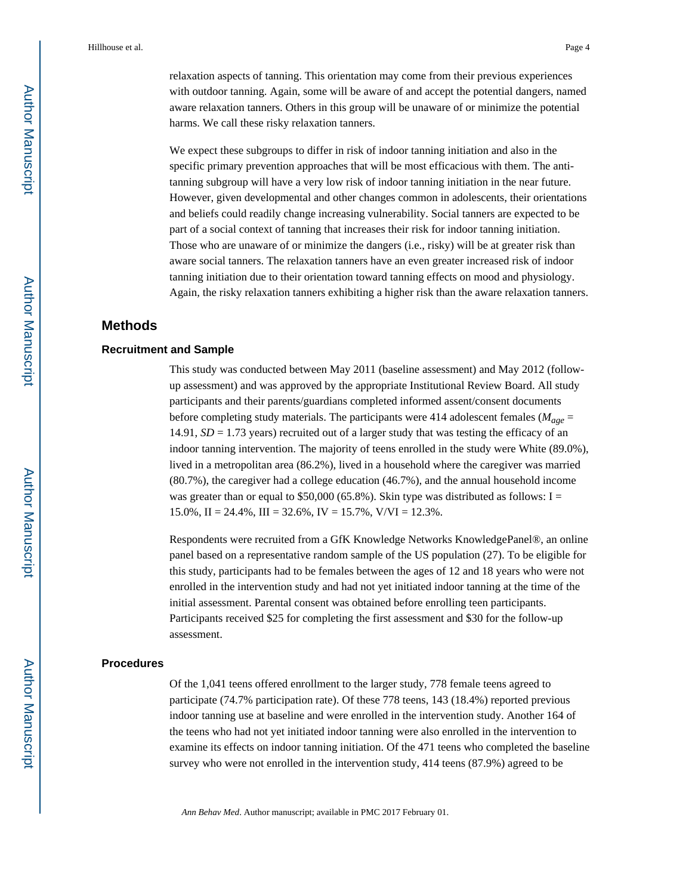relaxation aspects of tanning. This orientation may come from their previous experiences with outdoor tanning. Again, some will be aware of and accept the potential dangers, named aware relaxation tanners. Others in this group will be unaware of or minimize the potential harms. We call these risky relaxation tanners.

We expect these subgroups to differ in risk of indoor tanning initiation and also in the specific primary prevention approaches that will be most efficacious with them. The antitanning subgroup will have a very low risk of indoor tanning initiation in the near future. However, given developmental and other changes common in adolescents, their orientations and beliefs could readily change increasing vulnerability. Social tanners are expected to be part of a social context of tanning that increases their risk for indoor tanning initiation. Those who are unaware of or minimize the dangers (i.e., risky) will be at greater risk than aware social tanners. The relaxation tanners have an even greater increased risk of indoor tanning initiation due to their orientation toward tanning effects on mood and physiology. Again, the risky relaxation tanners exhibiting a higher risk than the aware relaxation tanners.

## **Methods**

#### **Recruitment and Sample**

This study was conducted between May 2011 (baseline assessment) and May 2012 (followup assessment) and was approved by the appropriate Institutional Review Board. All study participants and their parents/guardians completed informed assent/consent documents before completing study materials. The participants were 414 adolescent females ( $M_{q\alpha\beta}$  = 14.91,  $SD = 1.73$  years) recruited out of a larger study that was testing the efficacy of an indoor tanning intervention. The majority of teens enrolled in the study were White (89.0%), lived in a metropolitan area (86.2%), lived in a household where the caregiver was married (80.7%), the caregiver had a college education (46.7%), and the annual household income was greater than or equal to  $$50,000$  (65.8%). Skin type was distributed as follows: I = 15.0%, II = 24.4%, III = 32.6%, IV = 15.7%, V/VI = 12.3%.

Respondents were recruited from a GfK Knowledge Networks KnowledgePanel®, an online panel based on a representative random sample of the US population (27). To be eligible for this study, participants had to be females between the ages of 12 and 18 years who were not enrolled in the intervention study and had not yet initiated indoor tanning at the time of the initial assessment. Parental consent was obtained before enrolling teen participants. Participants received \$25 for completing the first assessment and \$30 for the follow-up assessment.

#### **Procedures**

Of the 1,041 teens offered enrollment to the larger study, 778 female teens agreed to participate (74.7% participation rate). Of these 778 teens, 143 (18.4%) reported previous indoor tanning use at baseline and were enrolled in the intervention study. Another 164 of the teens who had not yet initiated indoor tanning were also enrolled in the intervention to examine its effects on indoor tanning initiation. Of the 471 teens who completed the baseline survey who were not enrolled in the intervention study, 414 teens (87.9%) agreed to be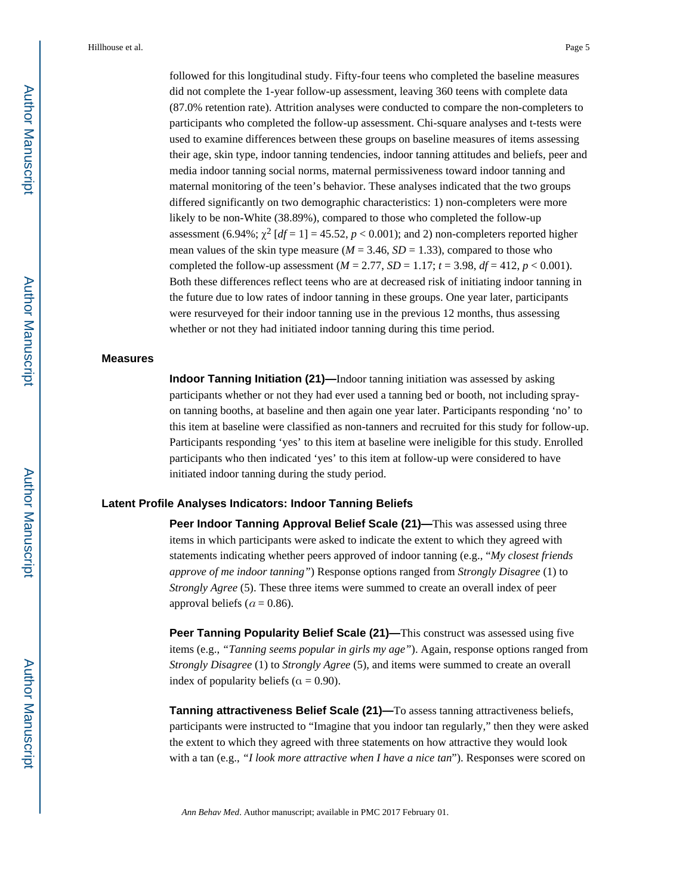followed for this longitudinal study. Fifty-four teens who completed the baseline measures did not complete the 1-year follow-up assessment, leaving 360 teens with complete data (87.0% retention rate). Attrition analyses were conducted to compare the non-completers to participants who completed the follow-up assessment. Chi-square analyses and t-tests were used to examine differences between these groups on baseline measures of items assessing their age, skin type, indoor tanning tendencies, indoor tanning attitudes and beliefs, peer and media indoor tanning social norms, maternal permissiveness toward indoor tanning and maternal monitoring of the teen's behavior. These analyses indicated that the two groups differed significantly on two demographic characteristics: 1) non-completers were more likely to be non-White (38.89%), compared to those who completed the follow-up assessment (6.94%;  $\chi^2$  [*df* = 1] = 45.52, *p* < 0.001); and 2) non-completers reported higher mean values of the skin type measure ( $M = 3.46$ ,  $SD = 1.33$ ), compared to those who completed the follow-up assessment ( $M = 2.77$ ,  $SD = 1.17$ ;  $t = 3.98$ ,  $df = 412$ ,  $p < 0.001$ ). Both these differences reflect teens who are at decreased risk of initiating indoor tanning in the future due to low rates of indoor tanning in these groups. One year later, participants were resurveyed for their indoor tanning use in the previous 12 months, thus assessing whether or not they had initiated indoor tanning during this time period.

#### **Measures**

**Indoor Tanning Initiation (21)—**Indoor tanning initiation was assessed by asking participants whether or not they had ever used a tanning bed or booth, not including sprayon tanning booths, at baseline and then again one year later. Participants responding 'no' to this item at baseline were classified as non-tanners and recruited for this study for follow-up. Participants responding 'yes' to this item at baseline were ineligible for this study. Enrolled participants who then indicated 'yes' to this item at follow-up were considered to have initiated indoor tanning during the study period.

#### **Latent Profile Analyses Indicators: Indoor Tanning Beliefs**

**Peer Indoor Tanning Approval Belief Scale (21)—This was assessed using three** items in which participants were asked to indicate the extent to which they agreed with statements indicating whether peers approved of indoor tanning (e.g., "*My closest friends approve of me indoor tanning"*) Response options ranged from *Strongly Disagree* (1) to *Strongly Agree* (5). These three items were summed to create an overall index of peer approval beliefs ( $a = 0.86$ ).

**Peer Tanning Popularity Belief Scale (21)—This construct was assessed using five** items (e.g., *"Tanning seems popular in girls my age"*). Again, response options ranged from *Strongly Disagree* (1) to *Strongly Agree* (5), and items were summed to create an overall index of popularity beliefs ( $\alpha = 0.90$ ).

**Tanning attractiveness Belief Scale (21)—**To assess tanning attractiveness beliefs, participants were instructed to "Imagine that you indoor tan regularly," then they were asked the extent to which they agreed with three statements on how attractive they would look with a tan (e.g., *"I look more attractive when I have a nice tan*"). Responses were scored on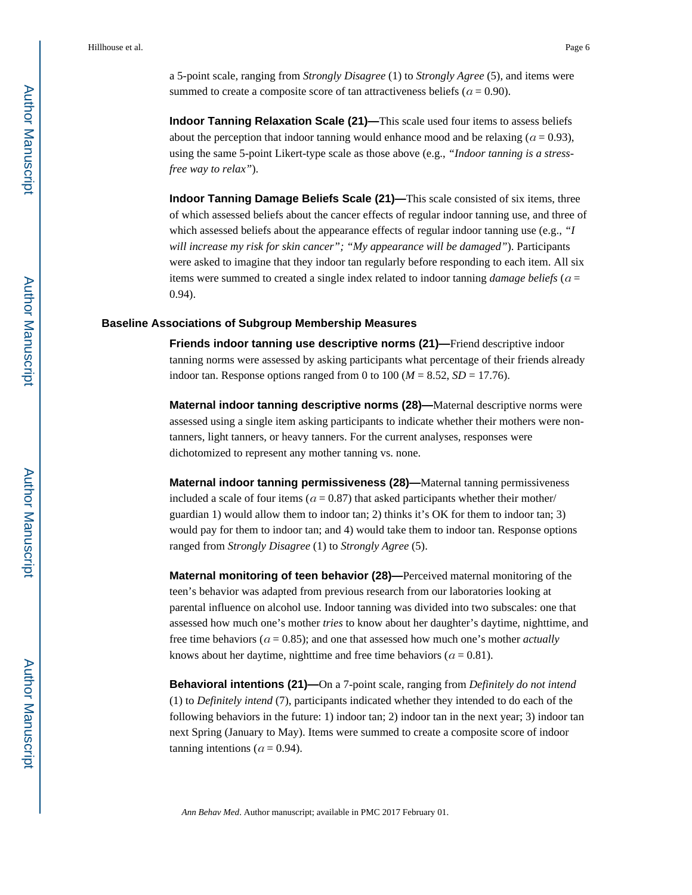a 5-point scale, ranging from *Strongly Disagree* (1) to *Strongly Agree* (5)*,* and items were summed to create a composite score of tan attractiveness beliefs ( $a = 0.90$ ).

**Indoor Tanning Relaxation Scale (21)—**This scale used four items to assess beliefs about the perception that indoor tanning would enhance mood and be relaxing ( $a = 0.93$ ), using the same 5-point Likert-type scale as those above (e.g., *"Indoor tanning is a stressfree way to relax"*).

**Indoor Tanning Damage Beliefs Scale (21)—**This scale consisted of six items, three of which assessed beliefs about the cancer effects of regular indoor tanning use, and three of which assessed beliefs about the appearance effects of regular indoor tanning use (e.g., *"I will increase my risk for skin cancer"; "My appearance will be damaged"*). Participants were asked to imagine that they indoor tan regularly before responding to each item. All six items were summed to created a single index related to indoor tanning *damage beliefs* (α = 0.94).

#### **Baseline Associations of Subgroup Membership Measures**

**Friends indoor tanning use descriptive norms (21)—**Friend descriptive indoor tanning norms were assessed by asking participants what percentage of their friends already indoor tan. Response options ranged from 0 to  $100 (M = 8.52, SD = 17.76)$ .

**Maternal indoor tanning descriptive norms (28)—Maternal descriptive norms were** assessed using a single item asking participants to indicate whether their mothers were nontanners, light tanners, or heavy tanners. For the current analyses, responses were dichotomized to represent any mother tanning vs. none.

**Maternal indoor tanning permissiveness (28)—**Maternal tanning permissiveness included a scale of four items ( $a = 0.87$ ) that asked participants whether their mother/ guardian 1) would allow them to indoor tan; 2) thinks it's OK for them to indoor tan; 3) would pay for them to indoor tan; and 4) would take them to indoor tan. Response options ranged from *Strongly Disagree* (1) to *Strongly Agree* (5).

**Maternal monitoring of teen behavior (28)—**Perceived maternal monitoring of the teen's behavior was adapted from previous research from our laboratories looking at parental influence on alcohol use. Indoor tanning was divided into two subscales: one that assessed how much one's mother *tries* to know about her daughter's daytime, nighttime, and free time behaviors ( $a = 0.85$ ); and one that assessed how much one's mother *actually* knows about her daytime, nighttime and free time behaviors ( $a = 0.81$ ).

**Behavioral intentions (21)—**On a 7-point scale, ranging from *Definitely do not intend*  (1) to *Definitely intend* (7), participants indicated whether they intended to do each of the following behaviors in the future: 1) indoor tan; 2) indoor tan in the next year; 3) indoor tan next Spring (January to May). Items were summed to create a composite score of indoor tanning intentions ( $a = 0.94$ ).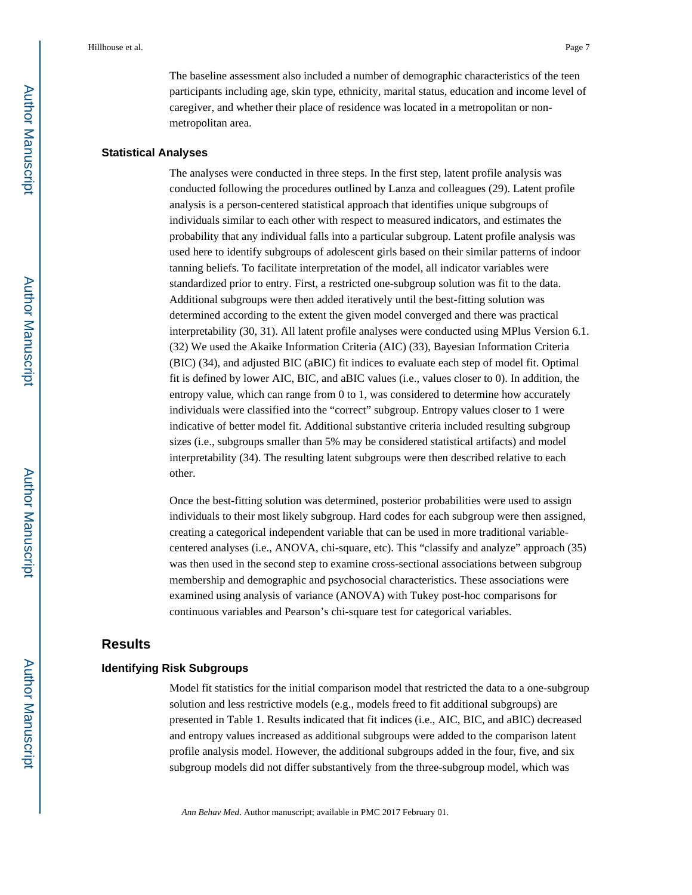The baseline assessment also included a number of demographic characteristics of the teen participants including age, skin type, ethnicity, marital status, education and income level of caregiver, and whether their place of residence was located in a metropolitan or nonmetropolitan area.

#### **Statistical Analyses**

The analyses were conducted in three steps. In the first step, latent profile analysis was conducted following the procedures outlined by Lanza and colleagues (29). Latent profile analysis is a person-centered statistical approach that identifies unique subgroups of individuals similar to each other with respect to measured indicators, and estimates the probability that any individual falls into a particular subgroup. Latent profile analysis was used here to identify subgroups of adolescent girls based on their similar patterns of indoor tanning beliefs. To facilitate interpretation of the model, all indicator variables were standardized prior to entry. First, a restricted one-subgroup solution was fit to the data. Additional subgroups were then added iteratively until the best-fitting solution was determined according to the extent the given model converged and there was practical interpretability (30, 31). All latent profile analyses were conducted using MPlus Version 6.1. (32) We used the Akaike Information Criteria (AIC) (33), Bayesian Information Criteria (BIC) (34), and adjusted BIC (aBIC) fit indices to evaluate each step of model fit. Optimal fit is defined by lower AIC, BIC, and aBIC values (i.e., values closer to 0). In addition, the entropy value, which can range from 0 to 1, was considered to determine how accurately individuals were classified into the "correct" subgroup. Entropy values closer to 1 were indicative of better model fit. Additional substantive criteria included resulting subgroup sizes (i.e., subgroups smaller than 5% may be considered statistical artifacts) and model interpretability (34). The resulting latent subgroups were then described relative to each other.

Once the best-fitting solution was determined, posterior probabilities were used to assign individuals to their most likely subgroup. Hard codes for each subgroup were then assigned, creating a categorical independent variable that can be used in more traditional variablecentered analyses (i.e., ANOVA, chi-square, etc). This "classify and analyze" approach (35) was then used in the second step to examine cross-sectional associations between subgroup membership and demographic and psychosocial characteristics. These associations were examined using analysis of variance (ANOVA) with Tukey post-hoc comparisons for continuous variables and Pearson's chi-square test for categorical variables.

### **Results**

#### **Identifying Risk Subgroups**

Model fit statistics for the initial comparison model that restricted the data to a one-subgroup solution and less restrictive models (e.g., models freed to fit additional subgroups) are presented in Table 1. Results indicated that fit indices (i.e., AIC, BIC, and aBIC) decreased and entropy values increased as additional subgroups were added to the comparison latent profile analysis model. However, the additional subgroups added in the four, five, and six subgroup models did not differ substantively from the three-subgroup model, which was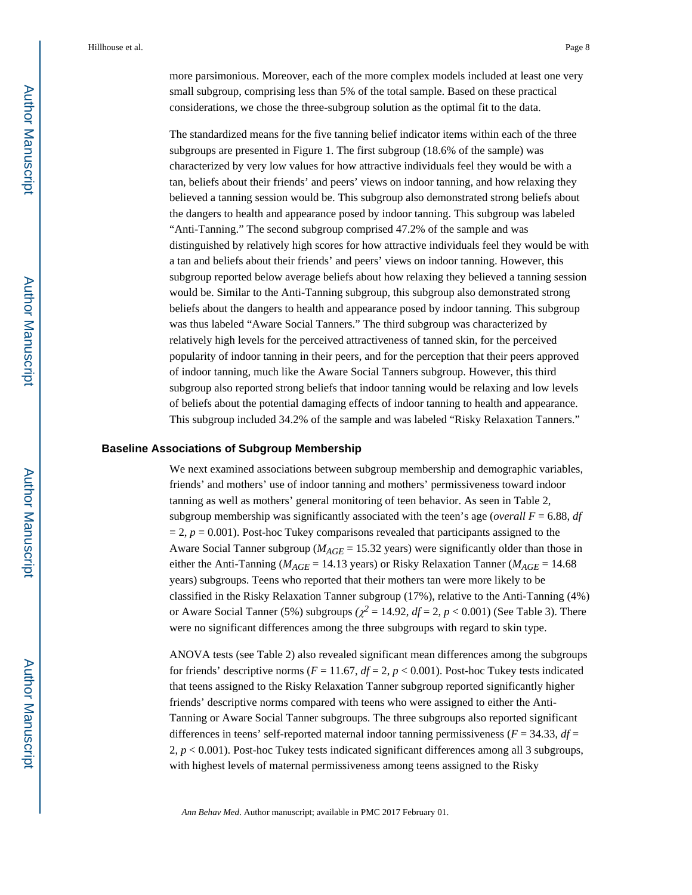more parsimonious. Moreover, each of the more complex models included at least one very small subgroup, comprising less than 5% of the total sample. Based on these practical considerations, we chose the three-subgroup solution as the optimal fit to the data.

The standardized means for the five tanning belief indicator items within each of the three subgroups are presented in Figure 1. The first subgroup (18.6% of the sample) was characterized by very low values for how attractive individuals feel they would be with a tan, beliefs about their friends' and peers' views on indoor tanning, and how relaxing they believed a tanning session would be. This subgroup also demonstrated strong beliefs about the dangers to health and appearance posed by indoor tanning. This subgroup was labeled "Anti-Tanning." The second subgroup comprised 47.2% of the sample and was distinguished by relatively high scores for how attractive individuals feel they would be with a tan and beliefs about their friends' and peers' views on indoor tanning. However, this subgroup reported below average beliefs about how relaxing they believed a tanning session would be. Similar to the Anti-Tanning subgroup, this subgroup also demonstrated strong beliefs about the dangers to health and appearance posed by indoor tanning. This subgroup was thus labeled "Aware Social Tanners." The third subgroup was characterized by relatively high levels for the perceived attractiveness of tanned skin, for the perceived popularity of indoor tanning in their peers, and for the perception that their peers approved of indoor tanning, much like the Aware Social Tanners subgroup. However, this third subgroup also reported strong beliefs that indoor tanning would be relaxing and low levels of beliefs about the potential damaging effects of indoor tanning to health and appearance. This subgroup included 34.2% of the sample and was labeled "Risky Relaxation Tanners."

#### **Baseline Associations of Subgroup Membership**

We next examined associations between subgroup membership and demographic variables, friends' and mothers' use of indoor tanning and mothers' permissiveness toward indoor tanning as well as mothers' general monitoring of teen behavior. As seen in Table 2, subgroup membership was significantly associated with the teen's age (*overall F* = 6.88, *df*  $= 2, p = 0.001$ ). Post-hoc Tukey comparisons revealed that participants assigned to the Aware Social Tanner subgroup (*MAGE* = 15.32 years) were significantly older than those in either the Anti-Tanning (*MAGE* = 14.13 years) or Risky Relaxation Tanner (*MAGE* = 14.68 years) subgroups. Teens who reported that their mothers tan were more likely to be classified in the Risky Relaxation Tanner subgroup (17%), relative to the Anti-Tanning (4%) or Aware Social Tanner (5%) subgroups  $(\chi^2 = 14.92, df = 2, p < 0.001)$  (See Table 3). There were no significant differences among the three subgroups with regard to skin type.

ANOVA tests (see Table 2) also revealed significant mean differences among the subgroups for friends' descriptive norms ( $F = 11.67$ ,  $df = 2$ ,  $p < 0.001$ ). Post-hoc Tukey tests indicated that teens assigned to the Risky Relaxation Tanner subgroup reported significantly higher friends' descriptive norms compared with teens who were assigned to either the Anti-Tanning or Aware Social Tanner subgroups. The three subgroups also reported significant differences in teens' self-reported maternal indoor tanning permissiveness ( $F = 34.33$ ,  $df =$ 2, *p* < 0.001). Post-hoc Tukey tests indicated significant differences among all 3 subgroups, with highest levels of maternal permissiveness among teens assigned to the Risky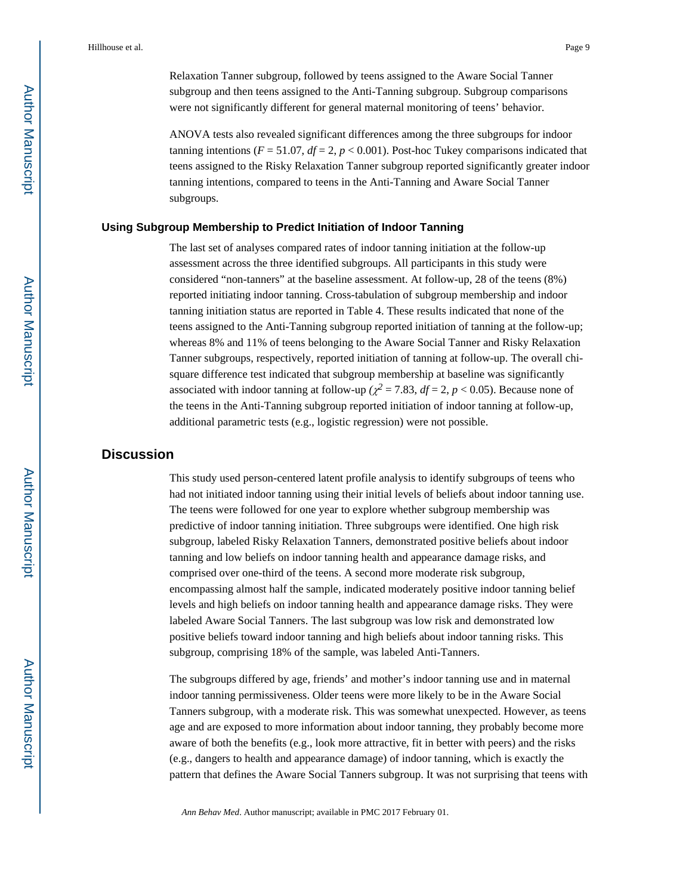ANOVA tests also revealed significant differences among the three subgroups for indoor tanning intentions ( $F = 51.07$ ,  $df = 2$ ,  $p < 0.001$ ). Post-hoc Tukey comparisons indicated that teens assigned to the Risky Relaxation Tanner subgroup reported significantly greater indoor tanning intentions, compared to teens in the Anti-Tanning and Aware Social Tanner subgroups.

#### **Using Subgroup Membership to Predict Initiation of Indoor Tanning**

The last set of analyses compared rates of indoor tanning initiation at the follow-up assessment across the three identified subgroups. All participants in this study were considered "non-tanners" at the baseline assessment. At follow-up, 28 of the teens (8%) reported initiating indoor tanning. Cross-tabulation of subgroup membership and indoor tanning initiation status are reported in Table 4. These results indicated that none of the teens assigned to the Anti-Tanning subgroup reported initiation of tanning at the follow-up; whereas 8% and 11% of teens belonging to the Aware Social Tanner and Risky Relaxation Tanner subgroups, respectively, reported initiation of tanning at follow-up. The overall chisquare difference test indicated that subgroup membership at baseline was significantly associated with indoor tanning at follow-up  $(\chi^2 = 7.83, df = 2, p < 0.05)$ . Because none of the teens in the Anti-Tanning subgroup reported initiation of indoor tanning at follow-up, additional parametric tests (e.g., logistic regression) were not possible.

## **Discussion**

This study used person-centered latent profile analysis to identify subgroups of teens who had not initiated indoor tanning using their initial levels of beliefs about indoor tanning use. The teens were followed for one year to explore whether subgroup membership was predictive of indoor tanning initiation. Three subgroups were identified. One high risk subgroup, labeled Risky Relaxation Tanners, demonstrated positive beliefs about indoor tanning and low beliefs on indoor tanning health and appearance damage risks, and comprised over one-third of the teens. A second more moderate risk subgroup, encompassing almost half the sample, indicated moderately positive indoor tanning belief levels and high beliefs on indoor tanning health and appearance damage risks. They were labeled Aware Social Tanners. The last subgroup was low risk and demonstrated low positive beliefs toward indoor tanning and high beliefs about indoor tanning risks. This subgroup, comprising 18% of the sample, was labeled Anti-Tanners.

The subgroups differed by age, friends' and mother's indoor tanning use and in maternal indoor tanning permissiveness. Older teens were more likely to be in the Aware Social Tanners subgroup, with a moderate risk. This was somewhat unexpected. However, as teens age and are exposed to more information about indoor tanning, they probably become more aware of both the benefits (e.g., look more attractive, fit in better with peers) and the risks (e.g., dangers to health and appearance damage) of indoor tanning, which is exactly the pattern that defines the Aware Social Tanners subgroup. It was not surprising that teens with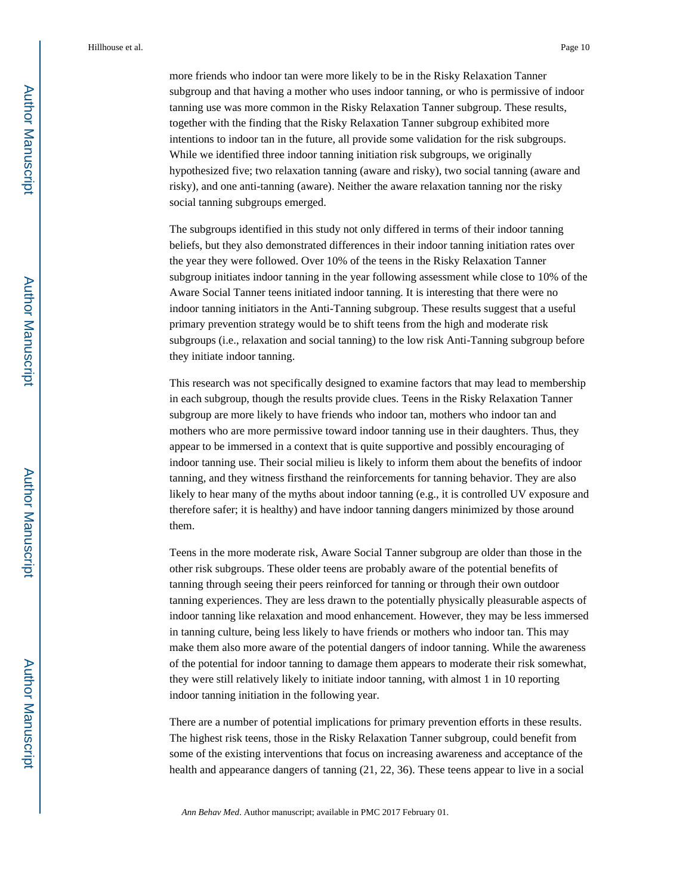more friends who indoor tan were more likely to be in the Risky Relaxation Tanner subgroup and that having a mother who uses indoor tanning, or who is permissive of indoor tanning use was more common in the Risky Relaxation Tanner subgroup. These results, together with the finding that the Risky Relaxation Tanner subgroup exhibited more intentions to indoor tan in the future, all provide some validation for the risk subgroups. While we identified three indoor tanning initiation risk subgroups, we originally hypothesized five; two relaxation tanning (aware and risky), two social tanning (aware and risky), and one anti-tanning (aware). Neither the aware relaxation tanning nor the risky social tanning subgroups emerged.

The subgroups identified in this study not only differed in terms of their indoor tanning beliefs, but they also demonstrated differences in their indoor tanning initiation rates over the year they were followed. Over 10% of the teens in the Risky Relaxation Tanner subgroup initiates indoor tanning in the year following assessment while close to 10% of the Aware Social Tanner teens initiated indoor tanning. It is interesting that there were no indoor tanning initiators in the Anti-Tanning subgroup. These results suggest that a useful primary prevention strategy would be to shift teens from the high and moderate risk subgroups (i.e., relaxation and social tanning) to the low risk Anti-Tanning subgroup before they initiate indoor tanning.

This research was not specifically designed to examine factors that may lead to membership in each subgroup, though the results provide clues. Teens in the Risky Relaxation Tanner subgroup are more likely to have friends who indoor tan, mothers who indoor tan and mothers who are more permissive toward indoor tanning use in their daughters. Thus, they appear to be immersed in a context that is quite supportive and possibly encouraging of indoor tanning use. Their social milieu is likely to inform them about the benefits of indoor tanning, and they witness firsthand the reinforcements for tanning behavior. They are also likely to hear many of the myths about indoor tanning (e.g., it is controlled UV exposure and therefore safer; it is healthy) and have indoor tanning dangers minimized by those around them.

Teens in the more moderate risk, Aware Social Tanner subgroup are older than those in the other risk subgroups. These older teens are probably aware of the potential benefits of tanning through seeing their peers reinforced for tanning or through their own outdoor tanning experiences. They are less drawn to the potentially physically pleasurable aspects of indoor tanning like relaxation and mood enhancement. However, they may be less immersed in tanning culture, being less likely to have friends or mothers who indoor tan. This may make them also more aware of the potential dangers of indoor tanning. While the awareness of the potential for indoor tanning to damage them appears to moderate their risk somewhat, they were still relatively likely to initiate indoor tanning, with almost 1 in 10 reporting indoor tanning initiation in the following year.

There are a number of potential implications for primary prevention efforts in these results. The highest risk teens, those in the Risky Relaxation Tanner subgroup, could benefit from some of the existing interventions that focus on increasing awareness and acceptance of the health and appearance dangers of tanning (21, 22, 36). These teens appear to live in a social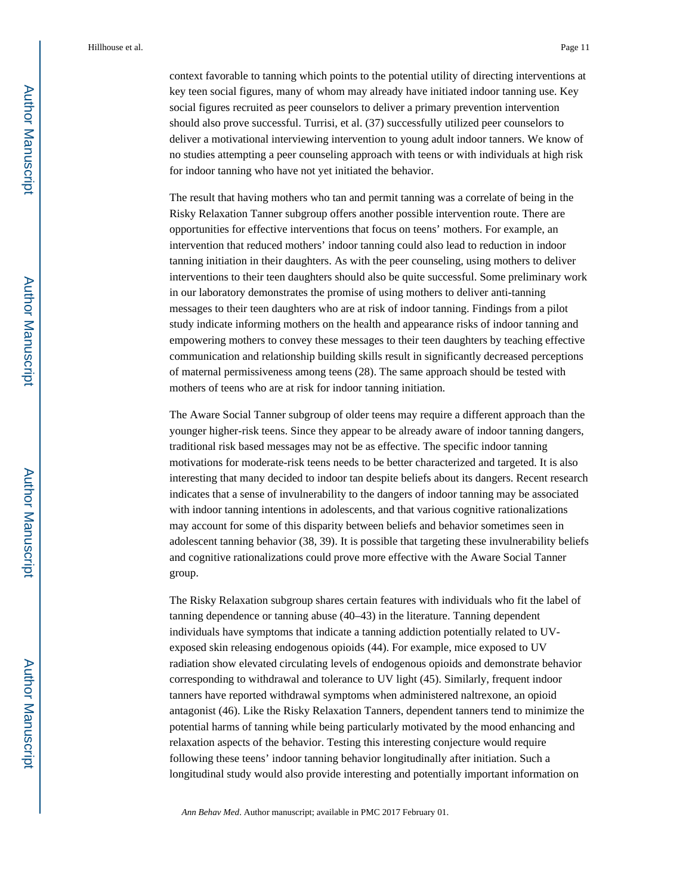context favorable to tanning which points to the potential utility of directing interventions at key teen social figures, many of whom may already have initiated indoor tanning use. Key social figures recruited as peer counselors to deliver a primary prevention intervention should also prove successful. Turrisi, et al. (37) successfully utilized peer counselors to deliver a motivational interviewing intervention to young adult indoor tanners. We know of no studies attempting a peer counseling approach with teens or with individuals at high risk for indoor tanning who have not yet initiated the behavior.

The result that having mothers who tan and permit tanning was a correlate of being in the Risky Relaxation Tanner subgroup offers another possible intervention route. There are opportunities for effective interventions that focus on teens' mothers. For example, an intervention that reduced mothers' indoor tanning could also lead to reduction in indoor tanning initiation in their daughters. As with the peer counseling, using mothers to deliver interventions to their teen daughters should also be quite successful. Some preliminary work in our laboratory demonstrates the promise of using mothers to deliver anti-tanning messages to their teen daughters who are at risk of indoor tanning. Findings from a pilot study indicate informing mothers on the health and appearance risks of indoor tanning and empowering mothers to convey these messages to their teen daughters by teaching effective communication and relationship building skills result in significantly decreased perceptions of maternal permissiveness among teens (28). The same approach should be tested with mothers of teens who are at risk for indoor tanning initiation.

The Aware Social Tanner subgroup of older teens may require a different approach than the younger higher-risk teens. Since they appear to be already aware of indoor tanning dangers, traditional risk based messages may not be as effective. The specific indoor tanning motivations for moderate-risk teens needs to be better characterized and targeted. It is also interesting that many decided to indoor tan despite beliefs about its dangers. Recent research indicates that a sense of invulnerability to the dangers of indoor tanning may be associated with indoor tanning intentions in adolescents, and that various cognitive rationalizations may account for some of this disparity between beliefs and behavior sometimes seen in adolescent tanning behavior (38, 39). It is possible that targeting these invulnerability beliefs and cognitive rationalizations could prove more effective with the Aware Social Tanner group.

The Risky Relaxation subgroup shares certain features with individuals who fit the label of tanning dependence or tanning abuse (40–43) in the literature. Tanning dependent individuals have symptoms that indicate a tanning addiction potentially related to UVexposed skin releasing endogenous opioids (44). For example, mice exposed to UV radiation show elevated circulating levels of endogenous opioids and demonstrate behavior corresponding to withdrawal and tolerance to UV light (45). Similarly, frequent indoor tanners have reported withdrawal symptoms when administered naltrexone, an opioid antagonist (46). Like the Risky Relaxation Tanners, dependent tanners tend to minimize the potential harms of tanning while being particularly motivated by the mood enhancing and relaxation aspects of the behavior. Testing this interesting conjecture would require following these teens' indoor tanning behavior longitudinally after initiation. Such a longitudinal study would also provide interesting and potentially important information on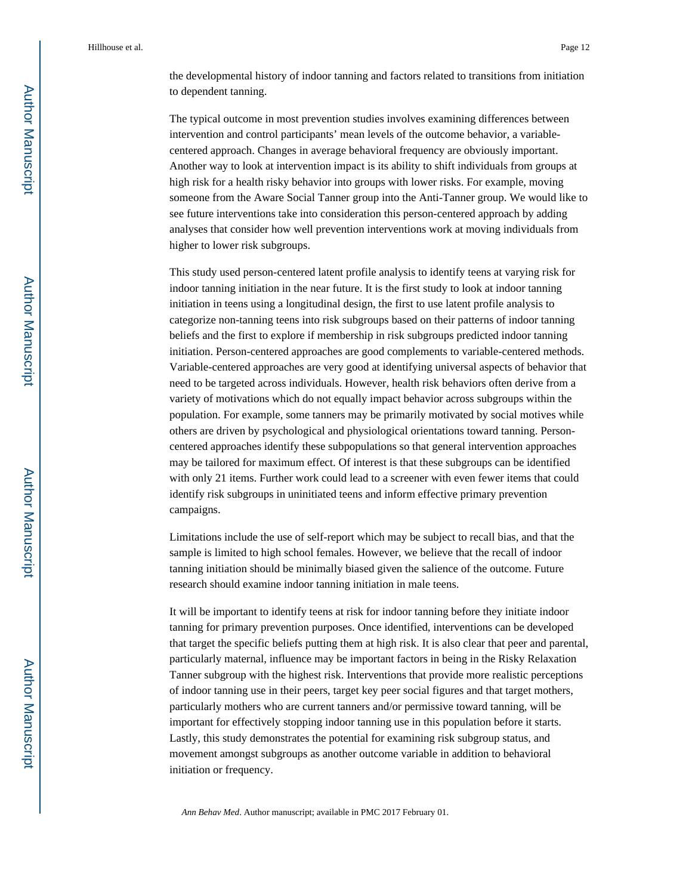the developmental history of indoor tanning and factors related to transitions from initiation to dependent tanning.

The typical outcome in most prevention studies involves examining differences between intervention and control participants' mean levels of the outcome behavior, a variablecentered approach. Changes in average behavioral frequency are obviously important. Another way to look at intervention impact is its ability to shift individuals from groups at high risk for a health risky behavior into groups with lower risks. For example, moving someone from the Aware Social Tanner group into the Anti-Tanner group. We would like to see future interventions take into consideration this person-centered approach by adding analyses that consider how well prevention interventions work at moving individuals from higher to lower risk subgroups.

This study used person-centered latent profile analysis to identify teens at varying risk for indoor tanning initiation in the near future. It is the first study to look at indoor tanning initiation in teens using a longitudinal design, the first to use latent profile analysis to categorize non-tanning teens into risk subgroups based on their patterns of indoor tanning beliefs and the first to explore if membership in risk subgroups predicted indoor tanning initiation. Person-centered approaches are good complements to variable-centered methods. Variable-centered approaches are very good at identifying universal aspects of behavior that need to be targeted across individuals. However, health risk behaviors often derive from a variety of motivations which do not equally impact behavior across subgroups within the population. For example, some tanners may be primarily motivated by social motives while others are driven by psychological and physiological orientations toward tanning. Personcentered approaches identify these subpopulations so that general intervention approaches may be tailored for maximum effect. Of interest is that these subgroups can be identified with only 21 items. Further work could lead to a screener with even fewer items that could identify risk subgroups in uninitiated teens and inform effective primary prevention campaigns.

Limitations include the use of self-report which may be subject to recall bias, and that the sample is limited to high school females. However, we believe that the recall of indoor tanning initiation should be minimally biased given the salience of the outcome. Future research should examine indoor tanning initiation in male teens.

It will be important to identify teens at risk for indoor tanning before they initiate indoor tanning for primary prevention purposes. Once identified, interventions can be developed that target the specific beliefs putting them at high risk. It is also clear that peer and parental, particularly maternal, influence may be important factors in being in the Risky Relaxation Tanner subgroup with the highest risk. Interventions that provide more realistic perceptions of indoor tanning use in their peers, target key peer social figures and that target mothers, particularly mothers who are current tanners and/or permissive toward tanning, will be important for effectively stopping indoor tanning use in this population before it starts. Lastly, this study demonstrates the potential for examining risk subgroup status, and movement amongst subgroups as another outcome variable in addition to behavioral initiation or frequency.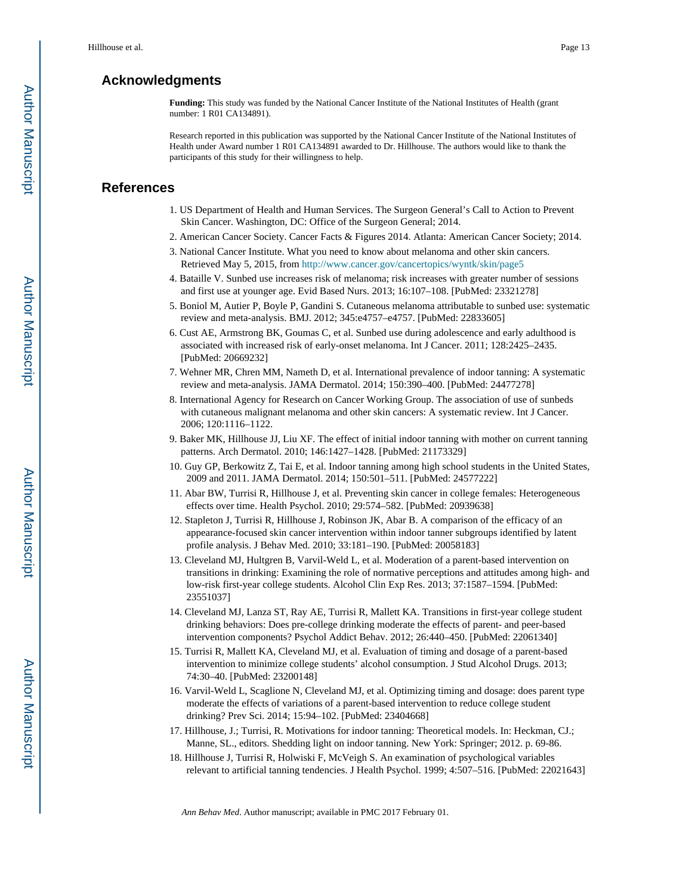## **Acknowledgments**

**Funding:** This study was funded by the National Cancer Institute of the National Institutes of Health (grant number: 1 R01 CA134891).

Research reported in this publication was supported by the National Cancer Institute of the National Institutes of Health under Award number 1 R01 CA134891 awarded to Dr. Hillhouse. The authors would like to thank the participants of this study for their willingness to help.

## **References**

- 1. US Department of Health and Human Services. The Surgeon General's Call to Action to Prevent Skin Cancer. Washington, DC: Office of the Surgeon General; 2014.
- 2. American Cancer Society. Cancer Facts & Figures 2014. Atlanta: American Cancer Society; 2014.
- 3. National Cancer Institute. What you need to know about melanoma and other skin cancers. Retrieved May 5, 2015, from<http://www.cancer.gov/cancertopics/wyntk/skin/page5>
- 4. Bataille V. Sunbed use increases risk of melanoma; risk increases with greater number of sessions and first use at younger age. Evid Based Nurs. 2013; 16:107–108. [PubMed: 23321278]
- 5. Boniol M, Autier P, Boyle P, Gandini S. Cutaneous melanoma attributable to sunbed use: systematic review and meta-analysis. BMJ. 2012; 345:e4757–e4757. [PubMed: 22833605]
- 6. Cust AE, Armstrong BK, Goumas C, et al. Sunbed use during adolescence and early adulthood is associated with increased risk of early-onset melanoma. Int J Cancer. 2011; 128:2425–2435. [PubMed: 20669232]
- 7. Wehner MR, Chren MM, Nameth D, et al. International prevalence of indoor tanning: A systematic review and meta-analysis. JAMA Dermatol. 2014; 150:390–400. [PubMed: 24477278]
- 8. International Agency for Research on Cancer Working Group. The association of use of sunbeds with cutaneous malignant melanoma and other skin cancers: A systematic review. Int J Cancer. 2006; 120:1116–1122.
- 9. Baker MK, Hillhouse JJ, Liu XF. The effect of initial indoor tanning with mother on current tanning patterns. Arch Dermatol. 2010; 146:1427–1428. [PubMed: 21173329]
- 10. Guy GP, Berkowitz Z, Tai E, et al. Indoor tanning among high school students in the United States, 2009 and 2011. JAMA Dermatol. 2014; 150:501–511. [PubMed: 24577222]
- 11. Abar BW, Turrisi R, Hillhouse J, et al. Preventing skin cancer in college females: Heterogeneous effects over time. Health Psychol. 2010; 29:574–582. [PubMed: 20939638]
- 12. Stapleton J, Turrisi R, Hillhouse J, Robinson JK, Abar B. A comparison of the efficacy of an appearance-focused skin cancer intervention within indoor tanner subgroups identified by latent profile analysis. J Behav Med. 2010; 33:181–190. [PubMed: 20058183]
- 13. Cleveland MJ, Hultgren B, Varvil-Weld L, et al. Moderation of a parent-based intervention on transitions in drinking: Examining the role of normative perceptions and attitudes among high- and low-risk first-year college students. Alcohol Clin Exp Res. 2013; 37:1587–1594. [PubMed: 23551037]
- 14. Cleveland MJ, Lanza ST, Ray AE, Turrisi R, Mallett KA. Transitions in first-year college student drinking behaviors: Does pre-college drinking moderate the effects of parent- and peer-based intervention components? Psychol Addict Behav. 2012; 26:440–450. [PubMed: 22061340]
- 15. Turrisi R, Mallett KA, Cleveland MJ, et al. Evaluation of timing and dosage of a parent-based intervention to minimize college students' alcohol consumption. J Stud Alcohol Drugs. 2013; 74:30–40. [PubMed: 23200148]
- 16. Varvil-Weld L, Scaglione N, Cleveland MJ, et al. Optimizing timing and dosage: does parent type moderate the effects of variations of a parent-based intervention to reduce college student drinking? Prev Sci. 2014; 15:94–102. [PubMed: 23404668]
- 17. Hillhouse, J.; Turrisi, R. Motivations for indoor tanning: Theoretical models. In: Heckman, CJ.; Manne, SL., editors. Shedding light on indoor tanning. New York: Springer; 2012. p. 69-86.
- 18. Hillhouse J, Turrisi R, Holwiski F, McVeigh S. An examination of psychological variables relevant to artificial tanning tendencies. J Health Psychol. 1999; 4:507–516. [PubMed: 22021643]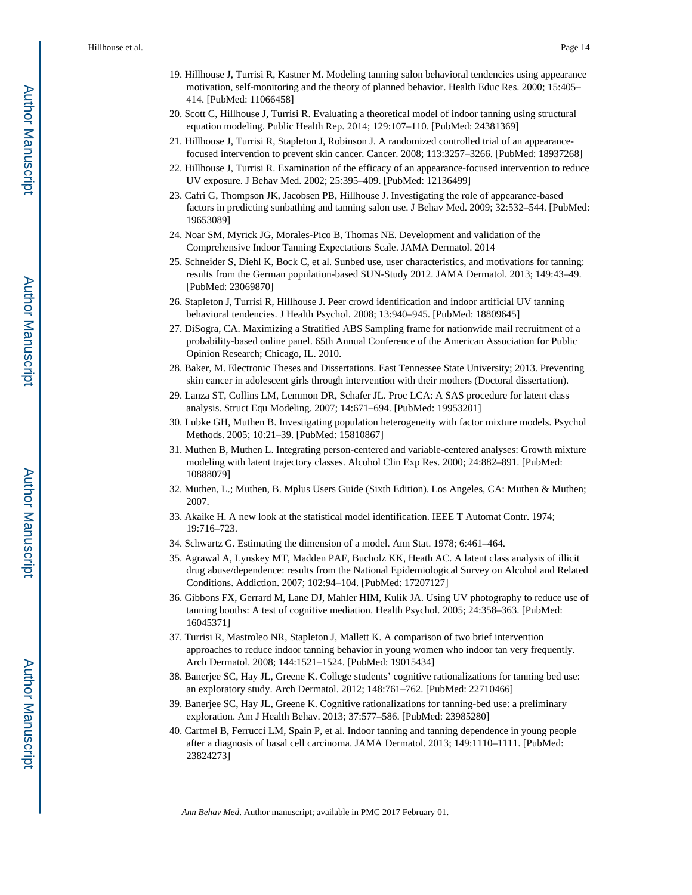- 19. Hillhouse J, Turrisi R, Kastner M. Modeling tanning salon behavioral tendencies using appearance motivation, self-monitoring and the theory of planned behavior. Health Educ Res. 2000; 15:405– 414. [PubMed: 11066458]
- 20. Scott C, Hillhouse J, Turrisi R. Evaluating a theoretical model of indoor tanning using structural equation modeling. Public Health Rep. 2014; 129:107–110. [PubMed: 24381369]
- 21. Hillhouse J, Turrisi R, Stapleton J, Robinson J. A randomized controlled trial of an appearancefocused intervention to prevent skin cancer. Cancer. 2008; 113:3257–3266. [PubMed: 18937268]
- 22. Hillhouse J, Turrisi R. Examination of the efficacy of an appearance-focused intervention to reduce UV exposure. J Behav Med. 2002; 25:395–409. [PubMed: 12136499]
- 23. Cafri G, Thompson JK, Jacobsen PB, Hillhouse J. Investigating the role of appearance-based factors in predicting sunbathing and tanning salon use. J Behav Med. 2009; 32:532–544. [PubMed: 19653089]
- 24. Noar SM, Myrick JG, Morales-Pico B, Thomas NE. Development and validation of the Comprehensive Indoor Tanning Expectations Scale. JAMA Dermatol. 2014
- 25. Schneider S, Diehl K, Bock C, et al. Sunbed use, user characteristics, and motivations for tanning: results from the German population-based SUN-Study 2012. JAMA Dermatol. 2013; 149:43–49. [PubMed: 23069870]
- 26. Stapleton J, Turrisi R, Hillhouse J. Peer crowd identification and indoor artificial UV tanning behavioral tendencies. J Health Psychol. 2008; 13:940–945. [PubMed: 18809645]
- 27. DiSogra, CA. Maximizing a Stratified ABS Sampling frame for nationwide mail recruitment of a probability-based online panel. 65th Annual Conference of the American Association for Public Opinion Research; Chicago, IL. 2010.
- 28. Baker, M. Electronic Theses and Dissertations. East Tennessee State University; 2013. Preventing skin cancer in adolescent girls through intervention with their mothers (Doctoral dissertation).
- 29. Lanza ST, Collins LM, Lemmon DR, Schafer JL. Proc LCA: A SAS procedure for latent class analysis. Struct Equ Modeling. 2007; 14:671–694. [PubMed: 19953201]
- 30. Lubke GH, Muthen B. Investigating population heterogeneity with factor mixture models. Psychol Methods. 2005; 10:21–39. [PubMed: 15810867]
- 31. Muthen B, Muthen L. Integrating person-centered and variable-centered analyses: Growth mixture modeling with latent trajectory classes. Alcohol Clin Exp Res. 2000; 24:882–891. [PubMed: 10888079]
- 32. Muthen, L.; Muthen, B. Mplus Users Guide (Sixth Edition). Los Angeles, CA: Muthen & Muthen; 2007.
- 33. Akaike H. A new look at the statistical model identification. IEEE T Automat Contr. 1974; 19:716–723.
- 34. Schwartz G. Estimating the dimension of a model. Ann Stat. 1978; 6:461–464.
- 35. Agrawal A, Lynskey MT, Madden PAF, Bucholz KK, Heath AC. A latent class analysis of illicit drug abuse/dependence: results from the National Epidemiological Survey on Alcohol and Related Conditions. Addiction. 2007; 102:94–104. [PubMed: 17207127]
- 36. Gibbons FX, Gerrard M, Lane DJ, Mahler HIM, Kulik JA. Using UV photography to reduce use of tanning booths: A test of cognitive mediation. Health Psychol. 2005; 24:358–363. [PubMed: 16045371]
- 37. Turrisi R, Mastroleo NR, Stapleton J, Mallett K. A comparison of two brief intervention approaches to reduce indoor tanning behavior in young women who indoor tan very frequently. Arch Dermatol. 2008; 144:1521–1524. [PubMed: 19015434]
- 38. Banerjee SC, Hay JL, Greene K. College students' cognitive rationalizations for tanning bed use: an exploratory study. Arch Dermatol. 2012; 148:761–762. [PubMed: 22710466]
- 39. Banerjee SC, Hay JL, Greene K. Cognitive rationalizations for tanning-bed use: a preliminary exploration. Am J Health Behav. 2013; 37:577–586. [PubMed: 23985280]
- 40. Cartmel B, Ferrucci LM, Spain P, et al. Indoor tanning and tanning dependence in young people after a diagnosis of basal cell carcinoma. JAMA Dermatol. 2013; 149:1110–1111. [PubMed: 23824273]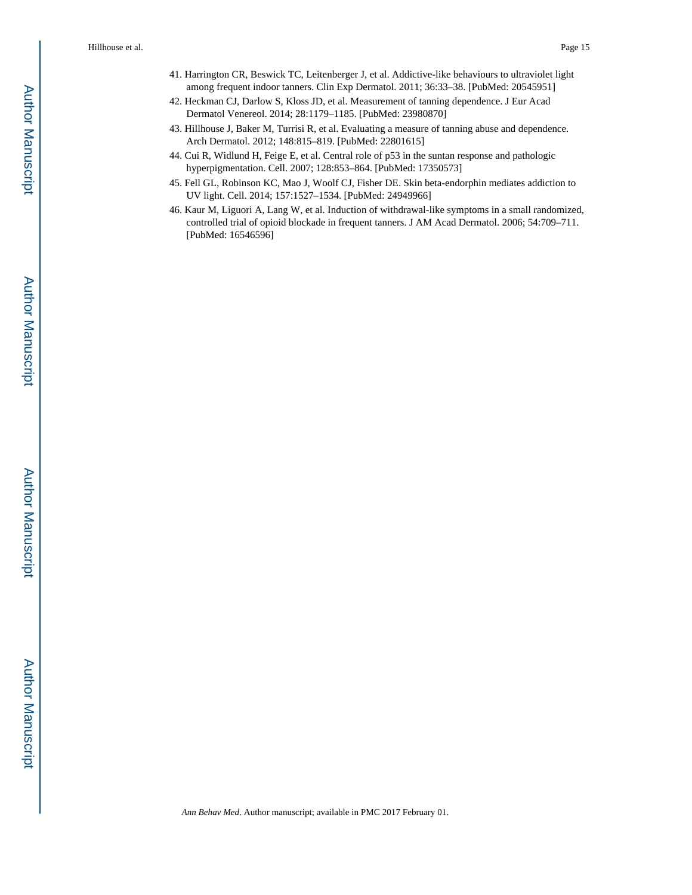- 41. Harrington CR, Beswick TC, Leitenberger J, et al. Addictive-like behaviours to ultraviolet light among frequent indoor tanners. Clin Exp Dermatol. 2011; 36:33–38. [PubMed: 20545951]
- 42. Heckman CJ, Darlow S, Kloss JD, et al. Measurement of tanning dependence. J Eur Acad Dermatol Venereol. 2014; 28:1179–1185. [PubMed: 23980870]
- 43. Hillhouse J, Baker M, Turrisi R, et al. Evaluating a measure of tanning abuse and dependence. Arch Dermatol. 2012; 148:815–819. [PubMed: 22801615]
- 44. Cui R, Widlund H, Feige E, et al. Central role of p53 in the suntan response and pathologic hyperpigmentation. Cell. 2007; 128:853–864. [PubMed: 17350573]
- 45. Fell GL, Robinson KC, Mao J, Woolf CJ, Fisher DE. Skin beta-endorphin mediates addiction to UV light. Cell. 2014; 157:1527–1534. [PubMed: 24949966]
- 46. Kaur M, Liguori A, Lang W, et al. Induction of withdrawal-like symptoms in a small randomized, controlled trial of opioid blockade in frequent tanners. J AM Acad Dermatol. 2006; 54:709–711. [PubMed: 16546596]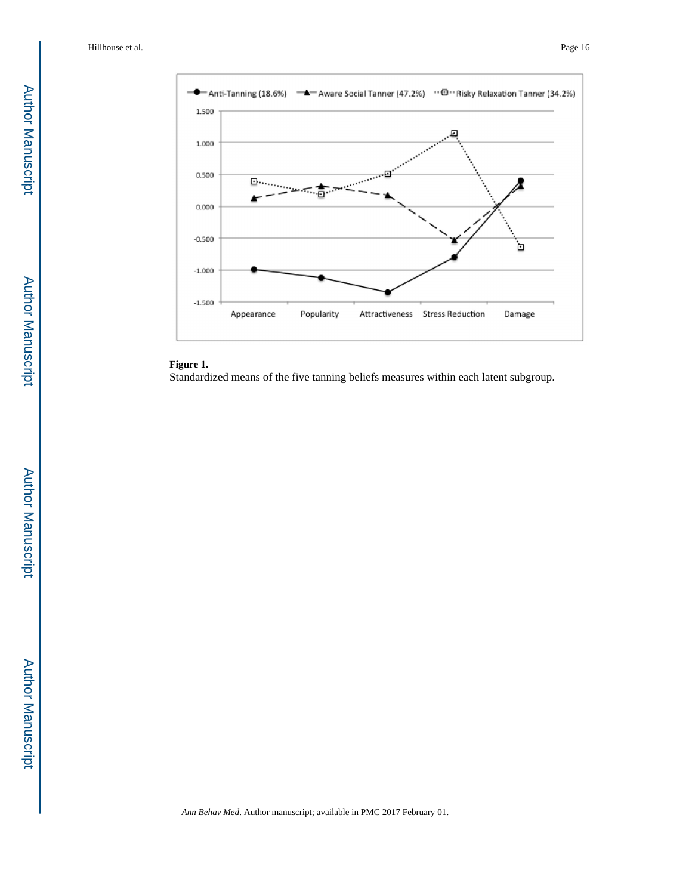

#### **Figure 1.**

Standardized means of the five tanning beliefs measures within each latent subgroup.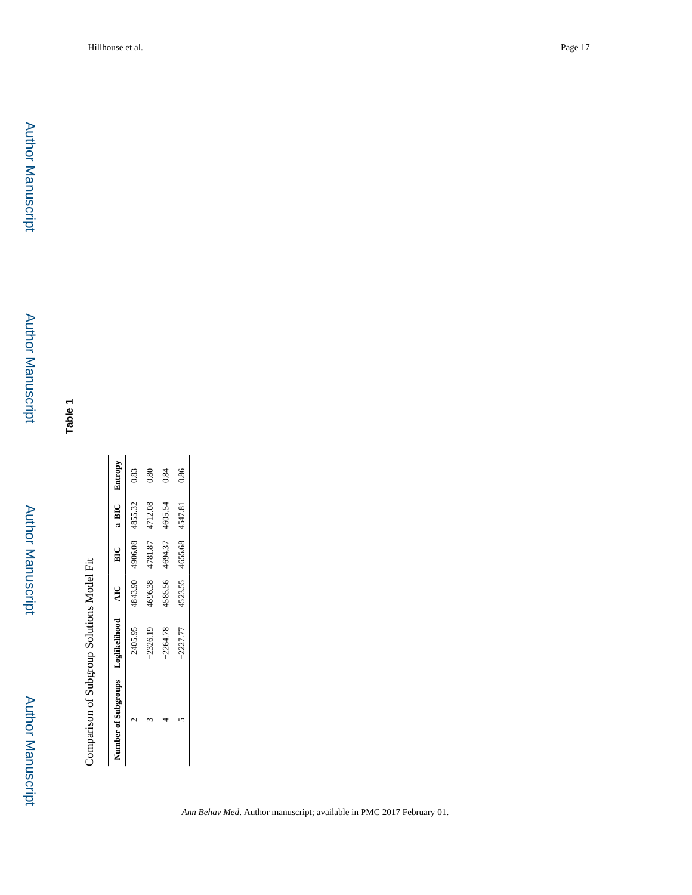Author Manuscript

**Author Manuscript** 

| Number of Subgroups Loglikelihood AIC |            |         |                         | BIC a_BIC Entropy |      |
|---------------------------------------|------------|---------|-------------------------|-------------------|------|
|                                       | $-2405.95$ |         | 4843.90 4906.08 4855.32 |                   | 0.83 |
|                                       | $-2326.19$ | 4696.38 | 4781.87 4712.08         |                   | 0.80 |
|                                       | $-2264.78$ |         | 4585.56 4694.37 4605.54 |                   | 0.84 |
|                                       | $-2227.77$ |         | 4523.55 4655.68 4547.81 |                   | 0.86 |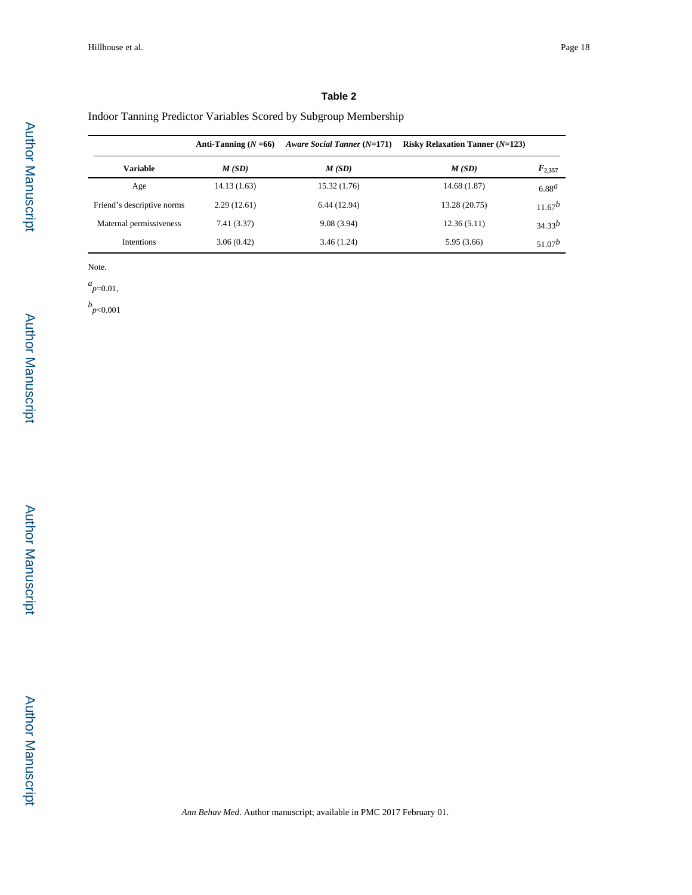## **Table 2**

## Indoor Tanning Predictor Variables Scored by Subgroup Membership

|                            | Anti-Tanning $(N=66)$ | Aware Social Tanner $(N=171)$ | Risky Relaxation Tanner $(N=123)$ |                   |
|----------------------------|-----------------------|-------------------------------|-----------------------------------|-------------------|
| Variable                   | M(SD)                 | M(SD)                         | M(SD)                             | $F_{2,357}$       |
| Age                        | 14.13(1.63)           | 15.32 (1.76)                  | 14.68 (1.87)                      | 6.88 <sup>a</sup> |
| Friend's descriptive norms | 2.29(12.61)           | 6.44(12.94)                   | 13.28 (20.75)                     | $11.67^b$         |
| Maternal permissiveness    | 7.41(3.37)            | 9.08(3.94)                    | 12.36(5.11)                       | $34.33^{b}$       |
| Intentions                 | 3.06(0.42)            | 3.46(1.24)                    | 5.95 (3.66)                       | $51.07^{b}$       |

Note.

 $a_{p=0.01}$ 

*b p*<0.001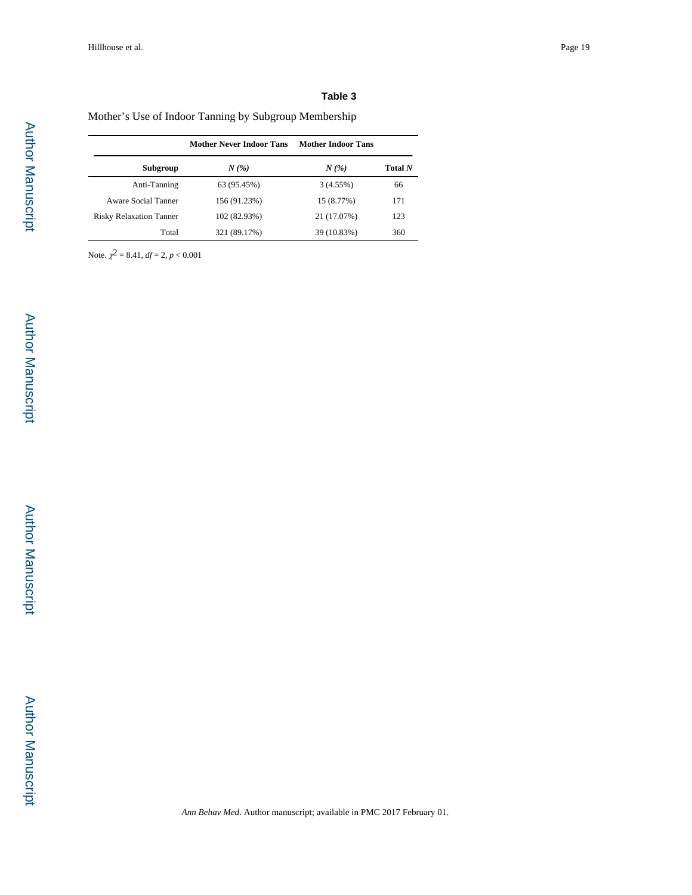## **Table 3**

## Mother's Use of Indoor Tanning by Subgroup Membership

|                                | <b>Mother Never Indoor Tans</b> | <b>Mother Indoor Tans</b> |         |
|--------------------------------|---------------------------------|---------------------------|---------|
| Subgroup                       | N(%                             | N(%                       | Total N |
| Anti-Tanning                   | 63 (95.45%)                     | 3(4.55%)                  | 66      |
| Aware Social Tanner            | 156 (91.23%)                    | 15 (8.77%)                | 171     |
| <b>Risky Relaxation Tanner</b> | 102 (82.93%)                    | 21 (17.07%)               | 123     |
| Total                          | 321 (89.17%)                    | 39 (10.83%)               | 360     |

Note.  $\chi^2 = 8.41$ ,  $df = 2$ ,  $p < 0.001$